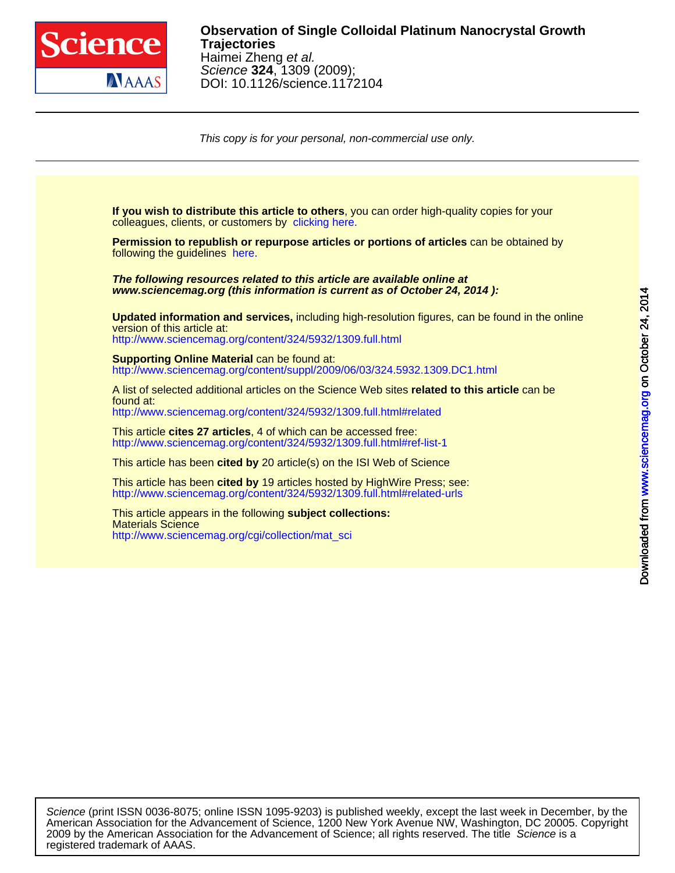

This copy is for your personal, non-commercial use only.

colleagues, clients, or customers by [clicking here.](http://www.sciencemag.org/about/permissions.dtl) **If you wish to distribute this article to others**, you can order high-quality copies for your

following the guidelines [here.](http://www.sciencemag.org/about/permissions.dtl) **Permission to republish or repurpose articles or portions of articles** can be obtained by

**www.sciencemag.org (this information is current as of October 24, 2014 ): The following resources related to this article are available online at**

<http://www.sciencemag.org/content/324/5932/1309.full.html> version of this article at: **Updated information and services,** including high-resolution figures, can be found in the online

[http://www.sciencemag.org/content/suppl/2009/06/03/324.5932.1309.DC1.html](http://www.sciencemag.org/content/suppl/2009/06/03/324.5932.1309.DC1.html )  **Supporting Online Material can be found at:** 

<http://www.sciencemag.org/content/324/5932/1309.full.html#related> found at: A list of selected additional articles on the Science Web sites **related to this article** can be

<http://www.sciencemag.org/content/324/5932/1309.full.html#ref-list-1> This article **cites 27 articles**, 4 of which can be accessed free:

This article has been **cited by** 20 article(s) on the ISI Web of Science

<http://www.sciencemag.org/content/324/5932/1309.full.html#related-urls> This article has been **cited by** 19 articles hosted by HighWire Press; see:

[http://www.sciencemag.org/cgi/collection/mat\\_sci](http://www.sciencemag.org/cgi/collection/mat_sci) Materials Science This article appears in the following **subject collections:**

registered trademark of AAAS. 2009 by the American Association for the Advancement of Science; all rights reserved. The title Science is a American Association for the Advancement of Science, 1200 New York Avenue NW, Washington, DC 20005. Copyright Science (print ISSN 0036-8075; online ISSN 1095-9203) is published weekly, except the last week in December, by the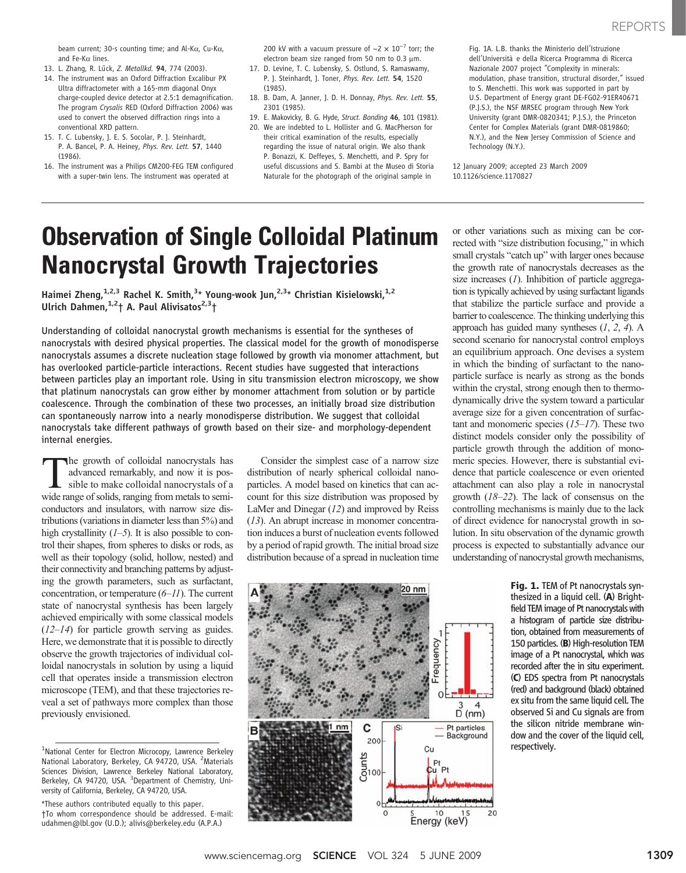beam current; 30-s counting time; and Al-K $\alpha$ , Cu-K $\alpha$ , and Fe-K $\alpha$  lines.

- 13. L. Zhang, R. Lück, Z. Metallkd. 94, 774 (2003).
- 14. The instrument was an Oxford Diffraction Excalibur PX Ultra diffractometer with a 165-mm diagonal Onyx charge-coupled device detector at 2.5:1 demagnification. The program Crysalis RED (Oxford Diffraction 2006) was used to convert the observed diffraction rings into a conventional XRD pattern.
- 15. T. C. Lubensky, J. E. S. Socolar, P. J. Steinhardt, P. A. Bancel, P. A. Heiney, Phys. Rev. Lett. 57, 1440 (1986).
- 16. The instrument was a Philips CM200-FEG TEM configured with a super-twin lens. The instrument was operated at

200 kV with a vacuum pressure of  $\sim$ 2  $\times$  10<sup>-7</sup> torr; the electron beam size ranged from 50 nm to 0.3  $\mu$ m.

- 17. D. Levine, T. C. Lubensky, S. Ostlund, S. Ramaswamy, P. J. Steinhardt, J. Toner, Phys. Rev. Lett. 54, 1520 (1985).
- 18. B. Dam, A. Janner, J. D. H. Donnay, Phys. Rev. Lett. 55, 2301 (1985).
- 19. E. Makovicky, B. G. Hyde, Struct. Bonding 46, 101 (1981).
- 20. We are indebted to L. Hollister and G. MacPherson for their critical examination of the results, especially regarding the issue of natural origin. We also thank P. Bonazzi, K. Deffeyes, S. Menchetti, and P. Spry for useful discussions and S. Bambi at the Museo di Storia Naturale for the photograph of the original sample in

Fig. 1A. L.B. thanks the Ministerio dell'Istruzione dell'Università e della Ricerca Programma di Ricerca Nazionale 2007 project "Complexity in minerals: modulation, phase transition, structural disorder," issued to S. Menchetti. This work was supported in part by U.S. Department of Energy grant DE-FG02-91ER40671 (P.J.S.), the NSF MRSEC program through New York University (grant DMR-0820341; P.J.S.), the Princeton Center for Complex Materials (grant DMR-0819860; N.Y.), and the New Jersey Commission of Science and Technology (N.Y.).

12 January 2009; accepted 23 March 2009 10.1126/science.1170827

# Observation of Single Colloidal Platinum Nanocrystal Growth Trajectories

Haimei Zheng,<sup>1,2,3</sup> Rachel K. Smith,<sup>3</sup>\* Young-wook Jun,<sup>2,3</sup>\* Christian Kisielowski,<sup>1,2</sup> Ulrich Dahmen,  $1,2+$  A. Paul Alivisatos $2,3+$ 

Understanding of colloidal nanocrystal growth mechanisms is essential for the syntheses of nanocrystals with desired physical properties. The classical model for the growth of monodisperse nanocrystals assumes a discrete nucleation stage followed by growth via monomer attachment, but has overlooked particle-particle interactions. Recent studies have suggested that interactions between particles play an important role. Using in situ transmission electron microscopy, we show that platinum nanocrystals can grow either by monomer attachment from solution or by particle coalescence. Through the combination of these two processes, an initially broad size distribution can spontaneously narrow into a nearly monodisperse distribution. We suggest that colloidal nanocrystals take different pathways of growth based on their size- and morphology-dependent internal energies.

The growth of colloidal nanocrystals has advanced remarkably, and now it is possible to make colloidal nanocrystals of a wide range of solids, ranging from metals to semiconductors and insulators, with narrow size distributions (variations in diameter less than 5%) and high crystallinity  $(1-5)$ . It is also possible to control their shapes, from spheres to disks or rods, as well as their topology (solid, hollow, nested) and their connectivity and branching patterns by adjusting the growth parameters, such as surfactant, concentration, or temperature  $(6-11)$ . The current state of nanocrystal synthesis has been largely achieved empirically with some classical models  $(12-14)$  for particle growth serving as guides. Here, we demonstrate that it is possible to directly observe the growth trajectories of individual colloidal nanocrystals in solution by using a liquid cell that operates inside a transmission electron microscope (TEM), and that these trajectories reveal a set of pathways more complex than those previously envisioned.

Consider the simplest case of a narrow size distribution of nearly spherical colloidal nanoparticles. A model based on kinetics that can account for this size distribution was proposed by LaMer and Dinegar (12) and improved by Reiss (13). An abrupt increase in monomer concentration induces a burst of nucleation events followed by a period of rapid growth. The initial broad size distribution because of a spread in nucleation time

or other variations such as mixing can be corrected with "size distribution focusing," in which small crystals "catch up" with larger ones because the growth rate of nanocrystals decreases as the size increases  $(1)$ . Inhibition of particle aggregation is typically achieved by using surfactant ligands that stabilize the particle surface and provide a barrier to coalescence. The thinking underlying this approach has guided many syntheses  $(1, 2, 4)$ . A second scenario for nanocrystal control employs an equilibrium approach. One devises a system in which the binding of surfactant to the nanoparticle surface is nearly as strong as the bonds within the crystal, strong enough then to thermodynamically drive the system toward a particular average size for a given concentration of surfactant and monomeric species  $(15-17)$ . These two distinct models consider only the possibility of particle growth through the addition of monomeric species. However, there is substantial evidence that particle coalescence or even oriented attachment can also play a role in nanocrystal growth (18–22). The lack of consensus on the controlling mechanisms is mainly due to the lack of direct evidence for nanocrystal growth in solution. In situ observation of the dynamic growth process is expected to substantially advance our understanding of nanocrystal growth mechanisms,



Fig. 1. TEM of Pt nanocrystals synthesized in a liquid cell. (A) Brightfield TEM image of Pt nanocrystals with a histogram of particle size distribution, obtained from measurements of 150 particles. (B) High-resolution TEM image of a Pt nanocrystal, which was recorded after the in situ experiment. (C) EDS spectra from Pt nanocrystals (red) and background (black) obtained ex situ from the same liquid cell. The observed Si and Cu signals are from the silicon nitride membrane window and the cover of the liquid cell, respectively.

<sup>&</sup>lt;sup>1</sup>National Center for Electron Microcopy, Lawrence Berkeley National Laboratory, Berkeley, CA 94720, USA. <sup>2</sup>Materials Sciences Division, Lawrence Berkeley National Laboratory, Berkeley, CA 94720, USA. <sup>3</sup>Department of Chemistry, University of California, Berkeley, CA 94720, USA.

<sup>\*</sup>These authors contributed equally to this paper. †To whom correspondence should be addressed. E-mail: udahmen@lbl.gov (U.D.); alivis@berkeley.edu (A.P.A.)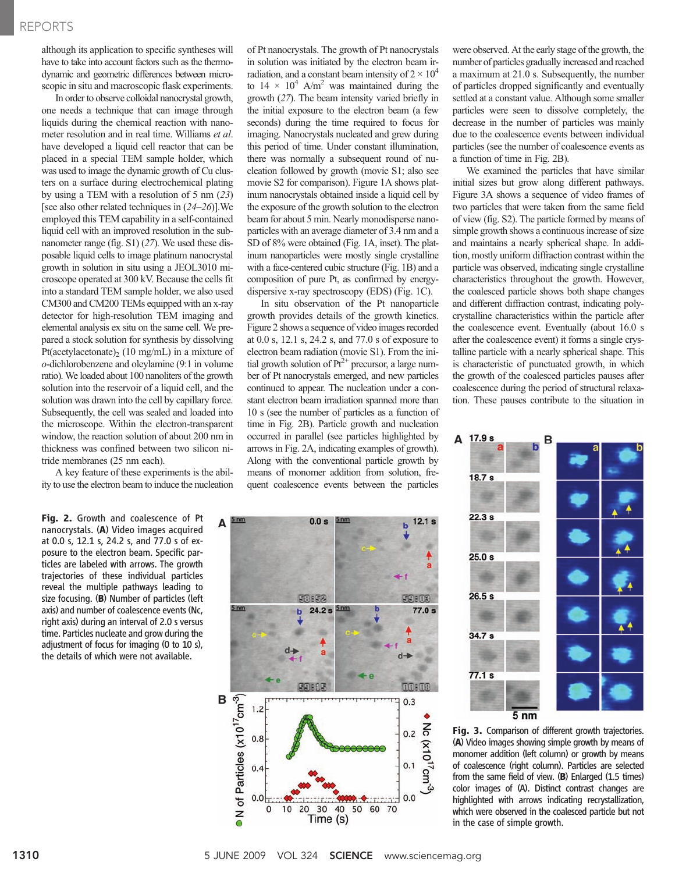### REPORTS

although its application to specific syntheses will have to take into account factors such as the thermodynamic and geometric differences between microscopic in situ and macroscopic flask experiments.

In order to observe colloidal nanocrystal growth, one needs a technique that can image through liquids during the chemical reaction with nanometer resolution and in real time. Williams et al. have developed a liquid cell reactor that can be placed in a special TEM sample holder, which was used to image the dynamic growth of Cu clusters on a surface during electrochemical plating by using a TEM with a resolution of 5 nm (23) [see also other related techniques in  $(24-26)$ ]. We employed this TEM capability in a self-contained liquid cell with an improved resolution in the subnanometer range (fig. S1) (27). We used these disposable liquid cells to image platinum nanocrystal growth in solution in situ using a JEOL3010 microscope operated at 300 kV. Because the cells fit into a standard TEM sample holder, we also used CM300 and CM200 TEMs equipped with an x-ray detector for high-resolution TEM imaging and elemental analysis ex situ on the same cell. We prepared a stock solution for synthesis by dissolving Pt(acetylacetonate)<sub>2</sub> (10 mg/mL) in a mixture of o-dichlorobenzene and oleylamine (9:1 in volume ratio). We loaded about 100 nanoliters of the growth solution into the reservoir of a liquid cell, and the solution was drawn into the cell by capillary force. Subsequently, the cell was sealed and loaded into the microscope. Within the electron-transparent window, the reaction solution of about 200 nm in thickness was confined between two silicon nitride membranes (25 nm each).

A key feature of these experiments is the ability to use the electron beam to induce the nucleation

Fig. 2. Growth and coalescence of Pt nanocrystals. (A) Video images acquired at 0.0 s, 12.1 s, 24.2 s, and 77.0 s of exposure to the electron beam. Specific particles are labeled with arrows. The growth trajectories of these individual particles reveal the multiple pathways leading to size focusing. (B) Number of particles (left axis) and number of coalescence events (Nc, right axis) during an interval of 2.0 s versus time. Particles nucleate and grow during the adjustment of focus for imaging (0 to 10 s), the details of which were not available.

of Pt nanocrystals. The growth of Pt nanocrystals in solution was initiated by the electron beam irradiation, and a constant beam intensity of  $2 \times 10^4$ to  $14 \times 10^4$  A/m<sup>2</sup> was maintained during the growth (27). The beam intensity varied briefly in the initial exposure to the electron beam (a few seconds) during the time required to focus for imaging. Nanocrystals nucleated and grew during this period of time. Under constant illumination, there was normally a subsequent round of nucleation followed by growth (movie S1; also see movie S2 for comparison). Figure 1A shows platinum nanocrystals obtained inside a liquid cell by the exposure of the growth solution to the electron beam for about 5 min. Nearly monodisperse nanoparticles with an average diameter of 3.4 nm and a SD of 8% were obtained (Fig. 1A, inset). The platinum nanoparticles were mostly single crystalline with a face-centered cubic structure (Fig. 1B) and a composition of pure Pt, as confirmed by energydispersive x-ray spectroscopy (EDS) (Fig. 1C).

In situ observation of the Pt nanoparticle growth provides details of the growth kinetics. Figure 2 shows a sequence of video images recorded at 0.0 s, 12.1 s, 24.2 s, and 77.0 s of exposure to electron beam radiation (movie S1). From the initial growth solution of  $Pt^{2+}$  precursor, a large number of Pt nanocrystals emerged, and new particles continued to appear. The nucleation under a constant electron beam irradiation spanned more than 10 s (see the number of particles as a function of time in Fig. 2B). Particle growth and nucleation occurred in parallel (see particles highlighted by arrows in Fig. 2A, indicating examples of growth). Along with the conventional particle growth by means of monomer addition from solution, frequent coalescence events between the particles



were observed. At the early stage of the growth, the number of particles gradually increased and reached a maximum at 21.0 s. Subsequently, the number of particles dropped significantly and eventually settled at a constant value. Although some smaller particles were seen to dissolve completely, the decrease in the number of particles was mainly due to the coalescence events between individual particles (see the number of coalescence events as a function of time in Fig. 2B).

We examined the particles that have similar initial sizes but grow along different pathways. Figure 3A shows a sequence of video frames of two particles that were taken from the same field of view (fig. S2). The particle formed by means of simple growth shows a continuous increase of size and maintains a nearly spherical shape. In addition, mostly uniform diffraction contrast within the particle was observed, indicating single crystalline characteristics throughout the growth. However, the coalesced particle shows both shape changes and different diffraction contrast, indicating polycrystalline characteristics within the particle after the coalescence event. Eventually (about 16.0 s after the coalescence event) it forms a single crystalline particle with a nearly spherical shape. This is characteristic of punctuated growth, in which the growth of the coalesced particles pauses after coalescence during the period of structural relaxation. These pauses contribute to the situation in



Fig. 3. Comparison of different growth trajectories. (A) Video images showing simple growth by means of monomer addition (left column) or growth by means of coalescence (right column). Particles are selected from the same field of view. (B) Enlarged (1.5 times) color images of (A). Distinct contrast changes are highlighted with arrows indicating recrystallization, which were observed in the coalesced particle but not in the case of simple growth.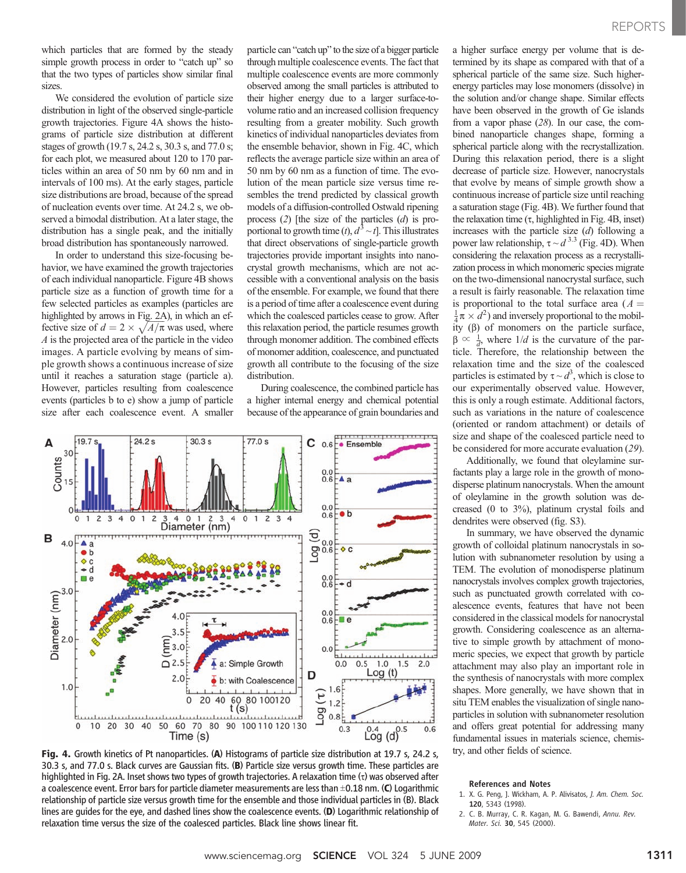which particles that are formed by the steady simple growth process in order to "catch up" so that the two types of particles show similar final sizes.

We considered the evolution of particle size distribution in light of the observed single-particle growth trajectories. Figure 4A shows the histograms of particle size distribution at different stages of growth (19.7 s, 24.2 s, 30.3 s, and 77.0 s; for each plot, we measured about 120 to 170 particles within an area of 50 nm by 60 nm and in intervals of 100 ms). At the early stages, particle size distributions are broad, because of the spread of nucleation events over time. At 24.2 s, we observed a bimodal distribution. At a later stage, the distribution has a single peak, and the initially broad distribution has spontaneously narrowed.

In order to understand this size-focusing behavior, we have examined the growth trajectories of each individual nanoparticle. Figure 4B shows particle size as a function of growth time for a few selected particles as examples (particles are highlighted by arrows in Fig. 2A), in which an effective size of  $d = 2 \times \sqrt{A/\pi}$  was used, where A is the projected area of the particle in the video images. A particle evolving by means of simple growth shows a continuous increase of size until it reaches a saturation stage (particle a). However, particles resulting from coalescence events (particles b to e) show a jump of particle size after each coalescence event. A smaller

particle can "catch up" to the size of a bigger particle through multiple coalescence events. The fact that multiple coalescence events are more commonly observed among the small particles is attributed to their higher energy due to a larger surface-tovolume ratio and an increased collision frequency resulting from a greater mobility. Such growth kinetics of individual nanoparticles deviates from the ensemble behavior, shown in Fig. 4C, which reflects the average particle size within an area of 50 nm by 60 nm as a function of time. The evolution of the mean particle size versus time resembles the trend predicted by classical growth models of a diffusion-controlled Ostwald ripening process  $(2)$  [the size of the particles  $(d)$  is proportional to growth time  $(t)$ ,  $d^3 \sim t$ . This illustrates that direct observations of single-particle growth trajectories provide important insights into nanocrystal growth mechanisms, which are not accessible with a conventional analysis on the basis of the ensemble. For example, we found that there is a period of time after a coalescence event during which the coalesced particles cease to grow. After this relaxation period, the particle resumes growth through monomer addition. The combined effects of monomer addition, coalescence, and punctuated growth all contribute to the focusing of the size distribution.

During coalescence, the combined particle has a higher internal energy and chemical potential because of the appearance of grain boundaries and



Fig. 4. Growth kinetics of Pt nanoparticles. (A) Histograms of particle size distribution at 19.7 s, 24.2 s, 30.3 s, and 77.0 s. Black curves are Gaussian fits. (B) Particle size versus growth time. These particles are highlighted in Fig. 2A. Inset shows two types of growth trajectories. A relaxation time  $\sigma$ ) was observed after a coalescence event. Error bars for particle diameter measurements are less than  $\pm$ 0.18 nm. (C) Logarithmic relationship of particle size versus growth time for the ensemble and those individual particles in (B). Black lines are guides for the eye, and dashed lines show the coalescence events. (D) Logarithmic relationship of relaxation time versus the size of the coalesced particles. Black line shows linear fit.

a higher surface energy per volume that is determined by its shape as compared with that of a spherical particle of the same size. Such higherenergy particles may lose monomers (dissolve) in the solution and/or change shape. Similar effects have been observed in the growth of Ge islands from a vapor phase (28). In our case, the combined nanoparticle changes shape, forming a spherical particle along with the recrystallization. During this relaxation period, there is a slight decrease of particle size. However, nanocrystals that evolve by means of simple growth show a continuous increase of particle size until reaching a saturation stage (Fig. 4B). We further found that the relaxation time  $(\tau, highlighted in Fig. 4B, inset)$ increases with the particle size  $(d)$  following a power law relationship,  $\tau \sim d^{3.3}$  (Fig. 4D). When considering the relaxation process as a recrystallization process in which monomeric species migrate on the two-dimensional nanocrystal surface, such a result is fairly reasonable. The relaxation time is proportional to the total surface area  $(A =$  $\frac{1}{4}\pi \times d^2$ ) and inversely proportional to the mobility  $(\beta)$  of monomers on the particle surface,  $\beta \propto \frac{1}{d}$ , where  $1/d$  is the curvature of the particle. Therefore, the relationship between the relaxation time and the size of the coalesced particles is estimated by  $\tau \sim d^3$ , which is close to our experimentally observed value. However, this is only a rough estimate. Additional factors, such as variations in the nature of coalescence (oriented or random attachment) or details of size and shape of the coalesced particle need to be considered for more accurate evaluation (29).

Additionally, we found that oleylamine surfactants play a large role in the growth of monodisperse platinum nanocrystals. When the amount of oleylamine in the growth solution was decreased (0 to 3%), platinum crystal foils and dendrites were observed (fig. S3).

In summary, we have observed the dynamic growth of colloidal platinum nanocrystals in solution with subnanometer resolution by using a TEM. The evolution of monodisperse platinum nanocrystals involves complex growth trajectories, such as punctuated growth correlated with coalescence events, features that have not been considered in the classical models for nanocrystal growth. Considering coalescence as an alternative to simple growth by attachment of monomeric species, we expect that growth by particle attachment may also play an important role in the synthesis of nanocrystals with more complex shapes. More generally, we have shown that in situ TEM enables the visualization of single nanoparticles in solution with subnanometer resolution and offers great potential for addressing many fundamental issues in materials science, chemistry, and other fields of science.

### References and Notes

- 1. X. G. Peng, J. Wickham, A. P. Alivisatos, J. Am. Chem. Soc. 120, 5343 (1998).
- 2. C. B. Murray, C. R. Kagan, M. G. Bawendi, Annu. Rev. Mater. Sci. 30, 545 (2000).